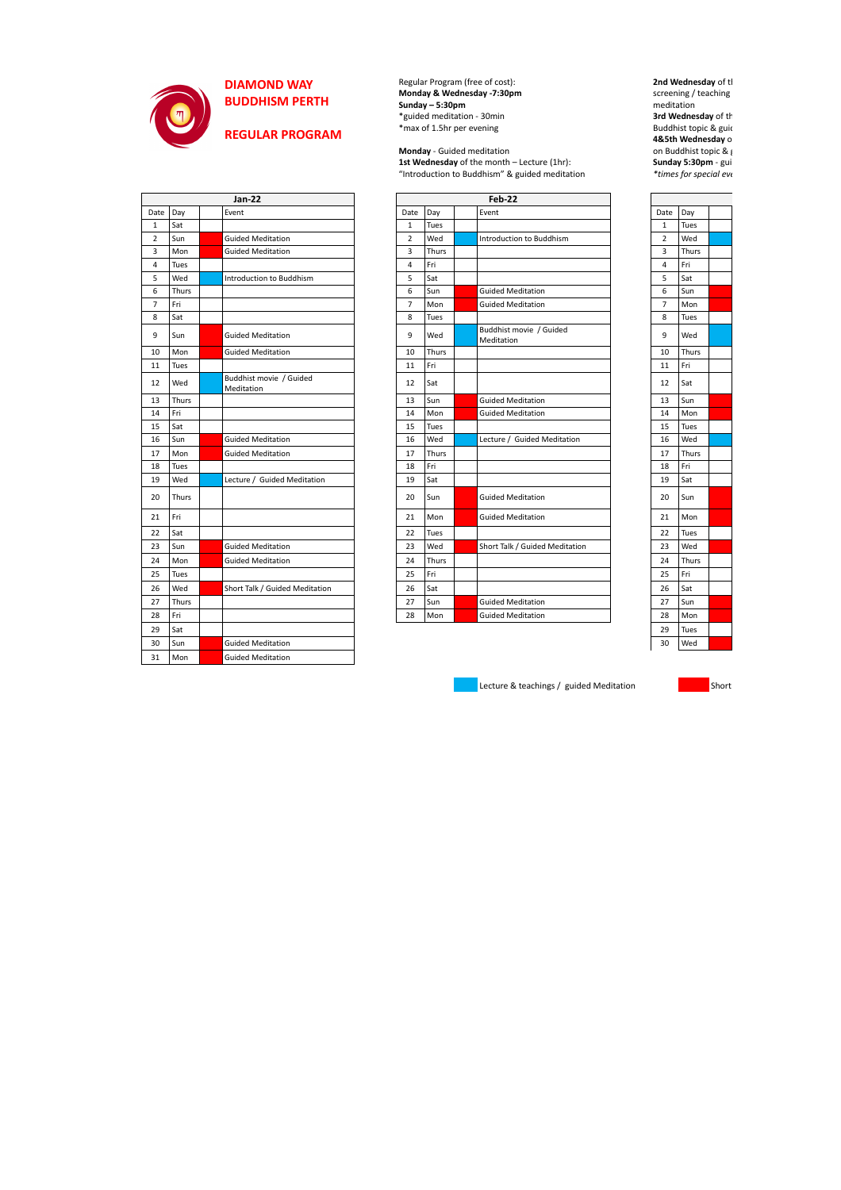

## **DIAMOND WAY BUDDHISM PERTH**

**REGULAR PROGRAM**

Regular Program (free of cost): **Monday & Wednesday -7:30pm Sunday – 5:30pm** \*guided meditation - 30min \*max of 1.5hr per evening

**Monday** - Guided meditation **1st Wednesday** of the month – Lecture (1hr): "Introduction to Buddhism" & guided meditation

| <b>Jan-22</b>  |       |  |                                       |  | Feb-22         |       |  |                                       |                |       |  |
|----------------|-------|--|---------------------------------------|--|----------------|-------|--|---------------------------------------|----------------|-------|--|
| Date           | Day   |  | Event                                 |  | Date           | Day   |  | Event                                 | Date           | Day   |  |
| $\mathbf{1}$   | Sat   |  |                                       |  | $\mathbf{1}$   | Tues  |  |                                       | $\mathbf{1}$   | Tues  |  |
| $\overline{2}$ | Sun   |  | <b>Guided Meditation</b>              |  | $\overline{2}$ | Wed   |  | Introduction to Buddhism              | $\overline{2}$ | Wed   |  |
| 3              | Mon   |  | <b>Guided Meditation</b>              |  | 3              | Thurs |  |                                       | 3              | Thurs |  |
| 4              | Tues  |  |                                       |  | 4              | Fri   |  |                                       | 4              | Fri   |  |
| 5              | Wed   |  | Introduction to Buddhism              |  | 5              | Sat   |  |                                       | 5              | Sat   |  |
| 6              | Thurs |  |                                       |  | 6              | Sun   |  | <b>Guided Meditation</b>              | 6              | Sun   |  |
| $\overline{7}$ | Fri   |  |                                       |  | $\overline{7}$ | Mon   |  | <b>Guided Meditation</b>              | $\overline{7}$ | Mon   |  |
| 8              | Sat   |  |                                       |  | 8              | Tues  |  |                                       | 8              | Tues  |  |
| 9              | Sun   |  | <b>Guided Meditation</b>              |  | 9              | Wed   |  | Buddhist movie / Guided<br>Meditation | 9              | Wed   |  |
| 10             | Mon   |  | <b>Guided Meditation</b>              |  | 10             | Thurs |  |                                       | 10             | Thurs |  |
| 11             | Tues  |  |                                       |  | 11             | Fri   |  |                                       | 11             | Fri   |  |
| 12             | Wed   |  | Buddhist movie / Guided<br>Meditation |  | 12             | Sat   |  |                                       | 12             | Sat   |  |
| 13             | Thurs |  |                                       |  | 13             | Sun   |  | <b>Guided Meditation</b>              | 13             | Sun   |  |
| 14             | Fri   |  |                                       |  | 14             | Mon   |  | <b>Guided Meditation</b>              | 14             | Mon   |  |
| 15             | Sat   |  |                                       |  | 15             | Tues  |  |                                       | 15             | Tues  |  |
| 16             | Sun   |  | <b>Guided Meditation</b>              |  | 16             | Wed   |  | Lecture / Guided Meditation           | 16             | Wed   |  |
| 17             | Mon   |  | <b>Guided Meditation</b>              |  | 17             | Thurs |  |                                       | 17             | Thurs |  |
| 18             | Tues  |  |                                       |  | 18             | Fri   |  |                                       | 18             | Fri   |  |
| 19             | Wed   |  | Lecture / Guided Meditation           |  | 19             | Sat   |  |                                       | 19             | Sat   |  |
| 20             | Thurs |  |                                       |  | 20             | Sun   |  | <b>Guided Meditation</b>              | 20             | Sun   |  |
| 21             | Fri   |  |                                       |  | 21             | Mon   |  | <b>Guided Meditation</b>              | 21             | Mon   |  |
| 22             | Sat   |  |                                       |  | 22             | Tues  |  |                                       | 22             | Tues  |  |
| 23             | Sun   |  | <b>Guided Meditation</b>              |  | 23             | Wed   |  | Short Talk / Guided Meditation        | 23             | Wed   |  |
| 24             | Mon   |  | <b>Guided Meditation</b>              |  | 24             | Thurs |  |                                       | 24             | Thurs |  |
| 25             | Tues  |  |                                       |  | 25             | Fri   |  |                                       | 25             | Fri   |  |
| 26             | Wed   |  | Short Talk / Guided Meditation        |  | 26             | Sat   |  |                                       | 26             | Sat   |  |
| 27             | Thurs |  |                                       |  | 27             | Sun   |  | <b>Guided Meditation</b>              | 27             | Sun   |  |
| 28             | Fri   |  |                                       |  | 28             | Mon   |  | <b>Guided Meditation</b>              | 28             | Mon   |  |
|                |       |  |                                       |  |                |       |  |                                       |                |       |  |

**2nd Wednesday** of the month – Buddhist movie screening / teaching **models** meditation **3rd Wednesday** of the month of the month of the month of the month of the month of the month of the month of the month of the month of the month of the month of the month of the month of the month of the month of the mont Buddhist topic & guid **4&5th Wednesday** of the month of the month  $\theta$ on Buddhist topic  $\&$   $\int$ **Sunday 5:30pm - guide**  $*$ *times for special events* 

| Date           | Day   |  |
|----------------|-------|--|
| 1              | Tues  |  |
| $\overline{a}$ | Wed   |  |
| 3              | Thurs |  |
| 4              | Fri   |  |
| 5              | Sat   |  |
| 6              | Sun   |  |
| 7              | Mon   |  |
| 8              | Tues  |  |
| 9              | Wed   |  |
| 10             | Thurs |  |
| 11             | Fri   |  |
| 12             | Sat   |  |
| 13             | Sun   |  |
| 14             | Mon   |  |
| 15             | Tues  |  |
| 16             | Wed   |  |
| 17             | Thurs |  |
| 18             | Fri   |  |
| 19             | Sat   |  |
| 20             | Sun   |  |
| 21             | Mon   |  |
| 22             | Tues  |  |
| 23             | Wed   |  |
| 24             | Thurs |  |
| 25             | Fri   |  |
| 26             | Sat   |  |
| 27             | Sun   |  |
| 28             | Mon   |  |
| 29             | Tues  |  |
| 30             | Wed   |  |

Lecture & teachings / guided Meditation Short Short Short

| Date TDay      |       | <b>LVEIIL</b>                         | Date TDay      |       | EVEIIL                                | Date TDay      |       |
|----------------|-------|---------------------------------------|----------------|-------|---------------------------------------|----------------|-------|
| $\mathbf{1}$   | Sat   |                                       | $\mathbf{1}$   | Tues  |                                       | $\mathbf{1}$   | Tues  |
| $\overline{2}$ | Sun   | <b>Guided Meditation</b>              | $\overline{2}$ | Wed   | Introduction to Buddhism              | $\overline{2}$ | Wed   |
| 3              | Mon   | <b>Guided Meditation</b>              | 3              | Thurs |                                       | 3              | Thurs |
| 4              | Tues  |                                       | 4              | Fri   |                                       | 4              | Fri   |
| 5              | Wed   | Introduction to Buddhism              | 5              | Sat   |                                       | 5              | Sat   |
| 6              | Thurs |                                       | 6              | Sun   | <b>Guided Meditation</b>              | 6              | Sun   |
| $\overline{7}$ | Fri   |                                       | 7              | Mon   | <b>Guided Meditation</b>              | $\overline{7}$ | Mon   |
| 8              | Sat   |                                       | 8              | Tues  |                                       | 8              | Tues  |
| 9              | Sun   | <b>Guided Meditation</b>              | 9              | Wed   | Buddhist movie / Guided<br>Meditation | 9              | Wed   |
| 10             | Mon   | <b>Guided Meditation</b>              | 10             | Thurs |                                       | 10             | Thurs |
| 11             | Tues  |                                       | 11             | Fri   |                                       | 11             | Fri   |
| 12             | Wed   | Buddhist movie / Guided<br>Meditation | 12             | Sat   |                                       | 12             | Sat   |
| 13             | Thurs |                                       | 13             | Sun   | <b>Guided Meditation</b>              | 13             | Sun   |
| 14             | Fri   |                                       | 14             | Mon   | <b>Guided Meditation</b>              | 14             | Mon   |
| 15             | Sat   |                                       | 15             | Tues  |                                       | 15             | Tues  |
| 16             | Sun   | <b>Guided Meditation</b>              | 16             | Wed   | Lecture / Guided Meditation           | 16             | Wed   |
| 17             | Mon   | <b>Guided Meditation</b>              | 17             | Thurs |                                       | 17             | Thurs |
| 18             | Tues  |                                       | 18             | Fri   |                                       | 18             | Fri   |
| 19             | Wed   | Lecture / Guided Meditation           | 19             | Sat   |                                       | 19             | Sat   |
| 20             | Thurs |                                       | 20             | Sun   | <b>Guided Meditation</b>              | 20             | Sun   |
| 21             | Fri   |                                       | 21             | Mon   | <b>Guided Meditation</b>              | 21             | Mon   |
| 22             | Sat   |                                       | 22             | Tues  |                                       | 22             | Tues  |
| 23             | Sun   | <b>Guided Meditation</b>              | 23             | Wed   | Short Talk / Guided Meditation        | 23             | Wed   |
| 24             | Mon   | <b>Guided Meditation</b>              | 24             | Thurs |                                       | 24             | Thurs |
| 25             | Tues  |                                       | 25             | Fri   |                                       | 25             | Fri   |
| 26             | Wed   | Short Talk / Guided Meditation        | 26             | Sat   |                                       | 26             | Sat   |
| 27             | Thurs |                                       | 27             | Sun   | <b>Guided Meditation</b>              | 27             | Sun   |
| 28             | Fri   |                                       | 28             | Mon   | <b>Guided Meditation</b>              | 28             | Mon   |
| 29             | Sat   |                                       |                |       |                                       | 29             | Tues  |
| 30             | Sun   | <b>Guided Meditation</b>              |                |       |                                       | 30             | Wed   |
| 31             | Mon   | <b>Guided Meditation</b>              |                |       |                                       |                |       |